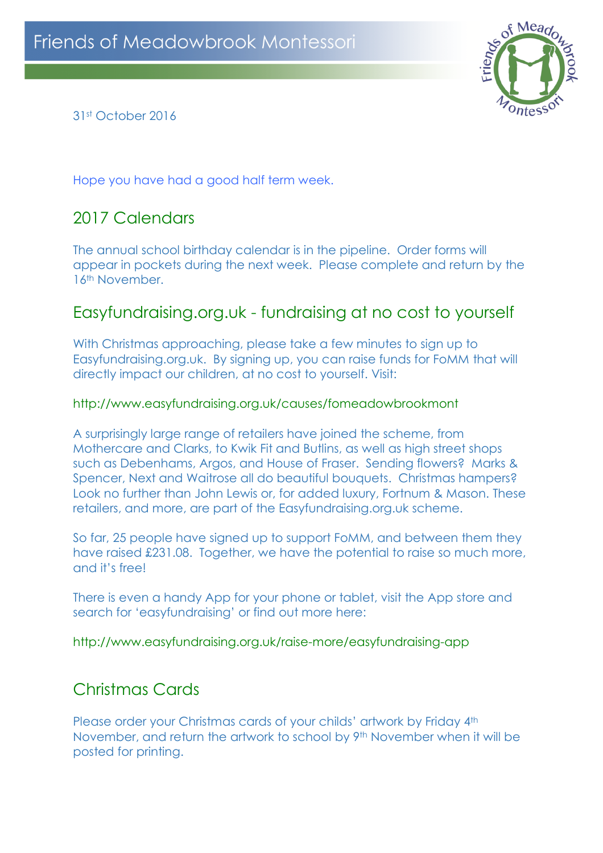

31st October 2016

Hope you have had a good half term week.

## 2017 Calendars

The annual school birthday calendar is in the pipeline. Order forms will appear in pockets during the next week. Please complete and return by the 16<sup>th</sup> November.

### Easyfundraising.org.uk - fundraising at no cost to yourself

With Christmas approaching, please take a few minutes to sign up to Easyfundraising.org.uk. By signing up, you can raise funds for FoMM that will directly impact our children, at no cost to yourself. Visit:

#### http://www.easyfundraising.org.uk/causes/fomeadowbrookmont

A surprisingly large range of retailers have joined the scheme, from Mothercare and Clarks, to Kwik Fit and Butlins, as well as high street shops such as Debenhams, Argos, and House of Fraser. Sending flowers? Marks & Spencer, Next and Waitrose all do beautiful bouquets. Christmas hampers? Look no further than John Lewis or, for added luxury, Fortnum & Mason. These retailers, and more, are part of the Easyfundraising.org.uk scheme.

So far, 25 people have signed up to support FoMM, and between them they have raised £231.08. Together, we have the potential to raise so much more, and it's free!

There is even a handy App for your phone or tablet, visit the App store and search for 'easyfundraising' or find out more here:

http://www.easyfundraising.org.uk/raise-more/easyfundraising-app

# Christmas Cards

Please order your Christmas cards of your childs' artwork by Friday 4<sup>th</sup> November, and return the artwork to school by 9th November when it will be posted for printing.